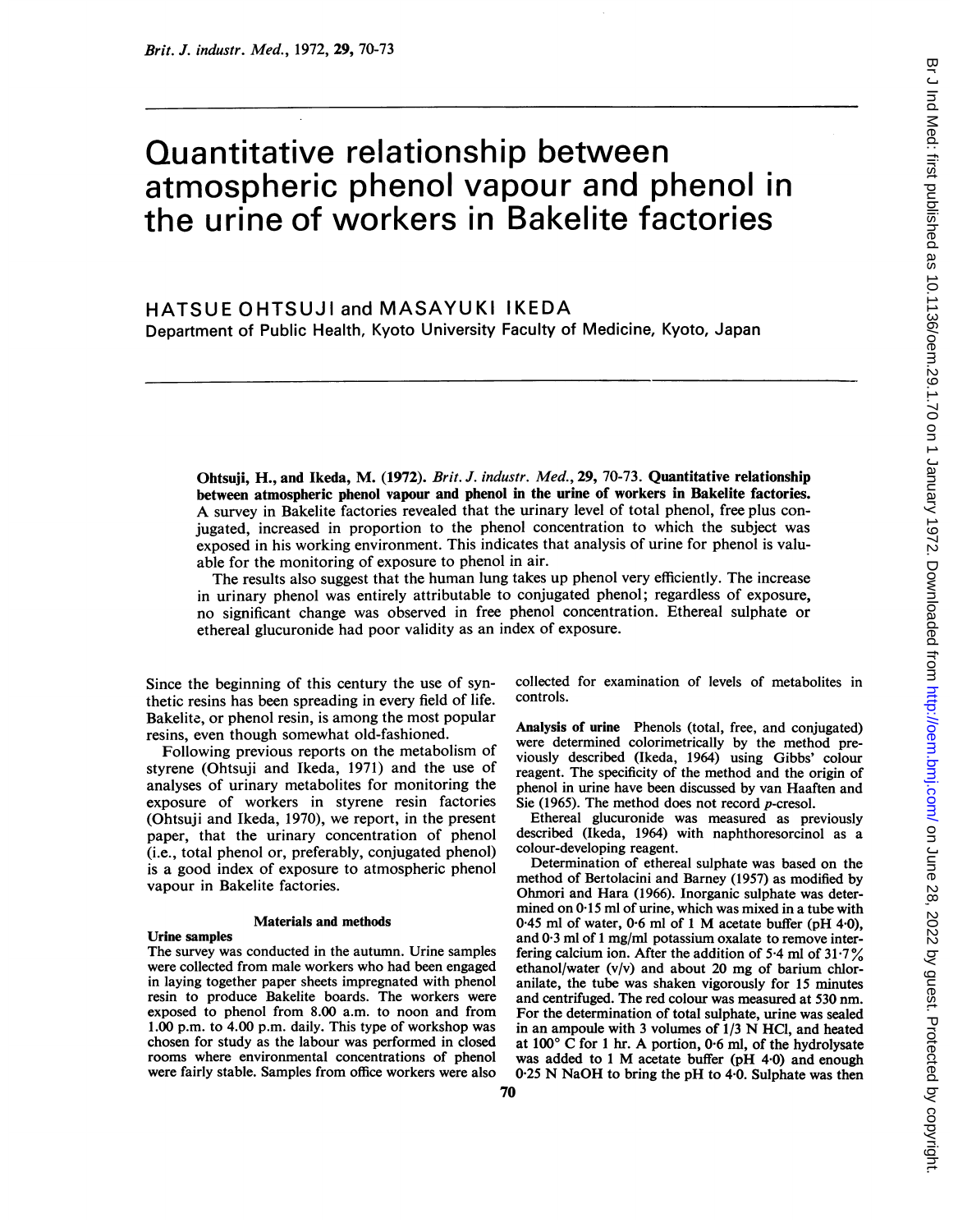# Quantitative relationship between atmospheric phenol vapour and phenol in the urine of workers in Bakelite factories

# HATSUE OHTSUJI and MASAYUKI IKEDA Department of Public Health, Kyoto University Faculty of Medicine, Kyoto, Japan

Ohtsuji, H., and Ikeda, M. (1972). Brit. J. industr. Med., 29, 70-73. Quantitative relationship between atmospheric phenol vapour and phenol in the urine of workers in Bakelite factories. A survey in Bakelite factories revealed that the urinary level of total phenol, free plus conjugated, increased in proportion to the phenol concentration to which the subject was exposed in his working environment. This indicates that analysis of urine for phenol is valuable for the monitoring of exposure to phenol in air.

The results also suggest that the human lung takes up phenol very efficiently. The increase in urinary phenol was entirely attributable to conjugated phenol; regardless of exposure, no significant change was observed in free phenol concentration. Ethereal sulphate or ethereal glucuronide had poor validity as an index of exposure.

Since the beginning of this century the use of synthetic resins has been spreading in every field of life. Bakelite, or phenol resin, is among the most popular resins, even though somewhat old-fashioned.

Following previous reports on the metabolism of styrene (Ohtsuji and Ikeda, 1971) and the use of analyses of urinary metabolites for monitoring the exposure of workers in styrene resin factories (Ohtsuji and Ikeda, 1970), we report, in the present paper, that the urinary concentration of phenol (i.e., total phenol or, preferably, conjugated phenol) is a good index of exposure to atmospheric phenol vapour in Bakelite factories.

#### Materials and methods

#### Urine samples

The survey was conducted in the autumn. Urine samples were collected from male workers who had been engaged in laying together paper sheets impregnated with phenol resin to produce Bakelite boards. The workers were exposed to phenol from 8.00 a.m. to noon and from 1.00 p.m. to 4.00 p.m. daily. This type of workshop was chosen for study as the labour was performed in closed rooms where environmental concentrations of phenol were fairly stable. Samples from office workers were also collected for examination of levels of metabolites in controls.

Analysis of urine Phenols (total, free, and conjugated) were determined colorimetrically by the method previously described (Ikeda, 1964) using Gibbs' colour reagent. The specificity of the method and the origin of phenol in urine have been discussed by van Haaften and Sie (1965). The method does not record p-cresol.

Ethereal glucuronide was measured as previously described (Ikeda, 1964) with naphthoresorcinol as a colour-developing reagent.

Determination of ethereal sulphate was based on the method of Bertolacini and Barney (1957) as modified by Ohmori and Hara (1966). Inorganic sulphate was determined on 0.15 ml of urine, which was mixed in a tube with <sup>0</sup> <sup>45</sup> ml of water, 0-6 ml of <sup>1</sup> M acetate buffer (pH 4-0), and  $0.3$  ml of 1 mg/ml potassium oxalate to remove interfering calcium ion. After the addition of 5-4 ml of 31-7 % ethanol/water (v/v) and about 20 mg of barium chloranilate, the tube was shaken vigorously for 15 minutes and centrifuged. The red colour was measured at 530 nm. For the determination of total sulphate, urine was sealed in an ampoule with <sup>3</sup> volumes of 1/3 N HCI, and heated at  $100^{\circ}$  C for 1 hr. A portion, 0.6 ml, of the hydrolysate was added to <sup>1</sup> M acetate buffer (pH <sup>4</sup>'0) and enough 0.25 N NaOH to bring the pH to 4.0. Sulphate was then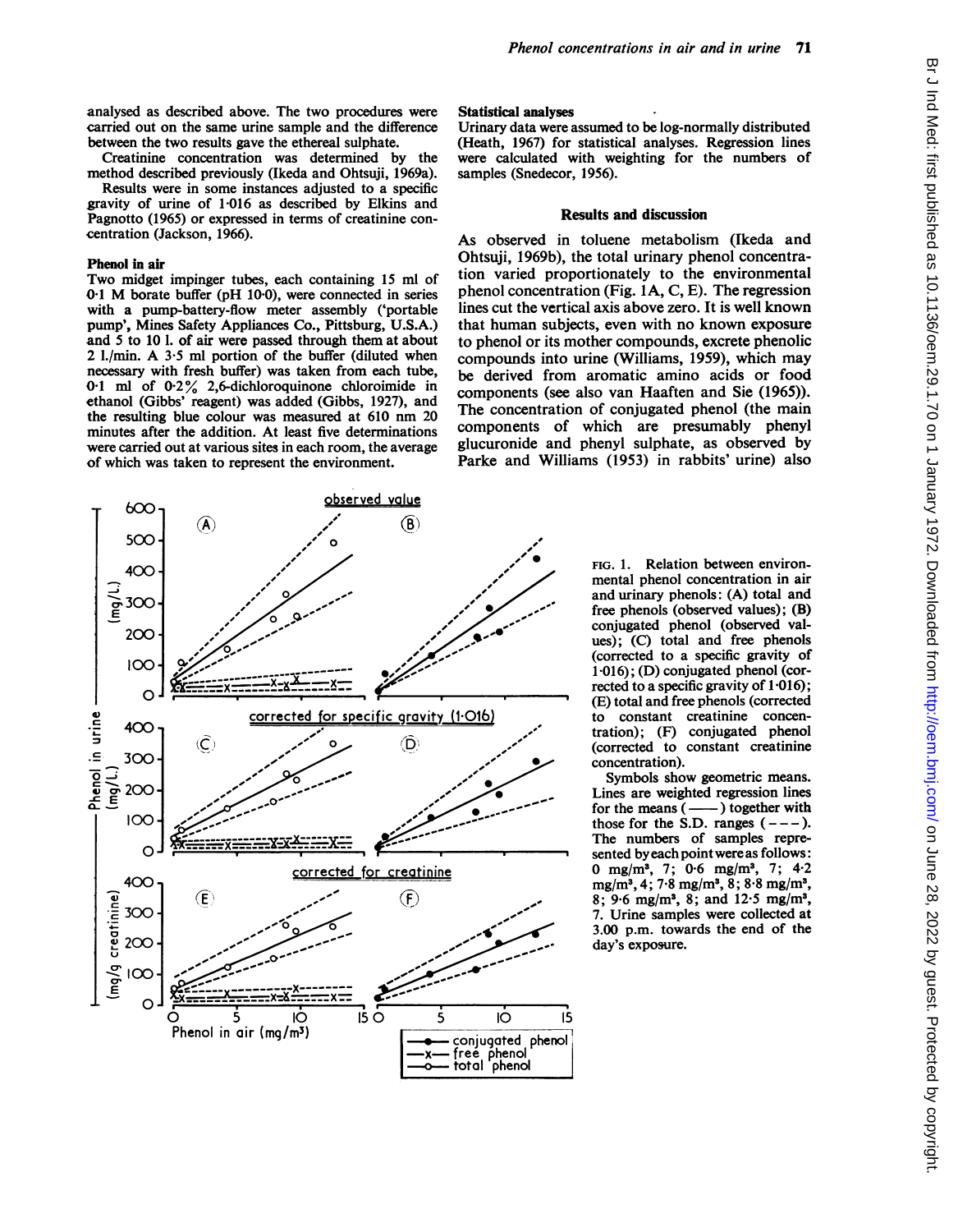analysed as described above. The two procedures were carried out on the same urine sample and the difference between the two results gave the ethereal sulphate.

Creatinine concentration was determined by the method described previously (Ikeda and Ohtsuji, 1969a).

Results were in some instances adjusted to a specific gravity of urine of 1-016 as described by Elkins and Pagnotto (1965) or expressed in terms of creatinine concentration (Jackson, 1966).

# Phenol in air

Two midget impinger tubes, each containing <sup>15</sup> ml of  $0.1$  M borate buffer (pH 10.0), were connected in series with a pump-battery-flow meter assembly ('portable pump', Mines Safety Appliances Co., Pittsburg, U.S.A.) and 5 to 10 1. of air were passed through them at about <sup>2</sup> I./min. A 3-5 ml portion of the buffer (diluted when necessary with fresh buffer) was taken from each tube, 0.1 ml of 0-2% 2,6-dichloroquinone chloroimide in ethanol (Gibbs' reagent) was added (Gibbs, 1927), and the resulting blue colour was measured at <sup>610</sup> nm <sup>20</sup> minutes after the addition. At least five determinations were carried out at various sites in each room, the average of which was taken to represent the environment.

## Statistical analyses

Urinary data were assumed to be log-normally distributed (Heath, 1967) for statistical analyses. Regression lines were calculated with weighting for the numbers of samples (Snedecor, 1956).

### Results and discussion

As observed in toluene metabolism (Ikeda and Ohtsuji, 1969b), the total urinary phenol concentration varied proportionately to the environmental phenol concentration (Fig. IA, C, E). The regression lines cut the vertical axis above zero. It is well known that human subjects, even with no known exposure to phenol or its mother compounds, excrete phenolic compounds into urine (Williams, 1959), which may be derived from aromatic amino acids or food components (see also van Haaften and Sie (1965)). The concentration of conjugated phenol (the main components of which are presumably phenyl glucuronide and phenyl sulphate, as observed by Parke and Williams (1953) in rabbits' urine) also



FIG. 1. Relation between environmental phenol concentration in air and urinary phenols:  $(A)$  total and free phenols (observed values); (B) conjugated phenol (observed values); (C) total and free phenols (corrected to a specific gravity of 1-016); (D) conjugated phenol (corrected to a specific gravity of 1.016); (E) total and free phenols (corrected to constant creatinine concentration); (F) conjugated phenol (corrected to constant creatinine concentration).

Symbols show geometric means. Lines are weighted regression lines for the means  $($ —— $)$  together with those for the S.D. ranges  $(---)$ . The numbers of samples represented byeachpoint were as follows: 0 mg/m3, 7; 0-6 mg/m3, 7; 4-2 mg/m3, 4; 7-8 mg/m3, 8; 8-8 mg/m3, 8; 9-6 mg/m3, 8; and 12-5 mg/m3, 7. Urine samples were collected at 3.00 p.m. towards the end of the day's exposure.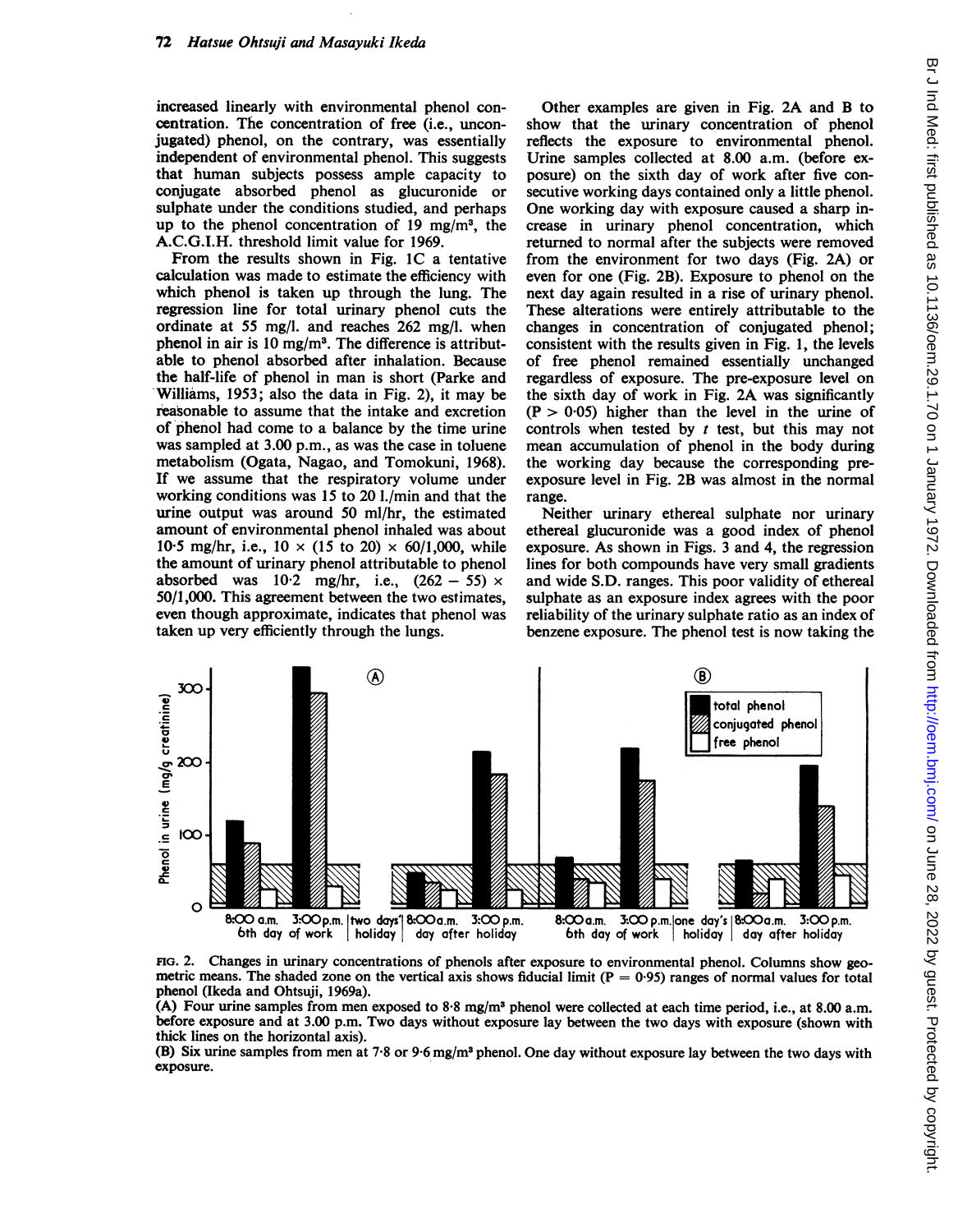increased linearly with environmental phenol concentration. The concentration of free (i.e., unconjugated) phenol, on the contrary, was essentially independent of environmental phenol. This suggests that human subjects possess ample capacity to conjugate absorbed phenol as glucuronide or sulphate under the conditions studied, and perhaps up to the phenol concentration of 19 mg/m<sup>3</sup>, the A.C.G.I.H. threshold limit value for 1969.

From the results shown in Fig. 1C a tentative calculation was made to estimate the efficiency with which phenol is taken up through the lung. The regression line for total urinary phenol cuts the ordinate at 55 mg/l. and reaches 262 mg/l. when phenol in air is 10 mg/m3. The difference is attributable to phenol absorbed after inhalation. Because the half-life of phenol in man is short (Parke and Williams, 1953; also the data in Fig. 2), it may be reasonable to assume that the intake and excretion of phenol had come to a balance by the time urine was sampled at 3.00 p.m., as was the case in toluene metabolism (Ogata, Nagao, and Tomokuni, 1968). If we assume that the respiratory volume under working conditions was 15 to 20 I./min and that the urine output was around 50 ml/hr, the estimated amount of environmental phenol inhaled was about 10.5 mg/hr, i.e.,  $10 \times (15 \text{ to } 20) \times 60/1,000$ , while the amount of urinary phenol attributable to phenol absorbed was  $10.2 \text{ mg/hr}$ , i.e.,  $(262 - 55) \times$ 50/1,000. This agreement between the two estimates, even though approximate, indicates that phenol was taken up very efficiently through the lungs.

Other examples are given in Fig. 2A and B to show that the urinary concentration of phenol reflects the exposure to environmental phenol. Urine samples collected at 8.00 a.m. (before exposure) on the sixth day of work after five consecutive working days contained only a little phenol. One working day with exposure caused a sharp increase in urinary phenol concentration, which returned to normal after the subjects were removed from the environment for two days (Fig. 2A) or even for one (Fig. 2B). Exposure to phenol on the next day again resulted in a rise of urinary phenol. These alterations were entirely attributable to the changes in concentration of conjugated phenol; consistent with the results given in Fig. 1, the levels of free phenol remained essentially unchanged regardless of exposure. The pre-exposure level on the sixth day of work in Fig. 2A was significantly  $(P > 0.05)$  higher than the level in the urine of controls when tested by  $t$  test, but this may not mean accumulation of phenol in the body during the working day because the corresponding preexposure level in Fig. 2B was almost in the normal range.

Neither urinary ethereal sulphate nor urinary ethereal glucuronide was a good index of phenol exposure. As shown in Figs. <sup>3</sup> and 4, the regression lines for both compounds have very small gradients and wide S.D. ranges. This poor validity of ethereal sulphate as an exposure index agrees with the poor reliability of the urinary sulphate ratio as an index of benzene exposure. The phenol test is now taking the



FIG. 2. Changes in urinary concentrations of phenols after exposure to environmental phenol. Columns show geometric means. The shaded zone on the vertical axis shows fiducial limit  $(P = 0.95)$  ranges of normal values for total phenol (Ikeda and Ohtsuji, 1969a).

(A) Four urine samples from men exposed to 8-8 mg/m3 phenol were collected at each time period, i.e., at 8.00 a.m. before exposure and at 3.00 p.m. Two days without exposure lay between the two days with exposure (shown with thick lines on the horizontal axis).

(B) Six urine samples from men at 7.8 or 9.6 mg/m<sup>3</sup> phenol. One day without exposure lay between the two days with exposure.